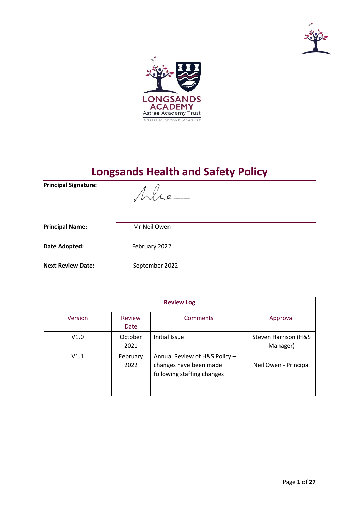



# **Longsands Health and Safety Policy**

| <b>Principal Signature:</b> | Me             |
|-----------------------------|----------------|
| <b>Principal Name:</b>      | Mr Neil Owen   |
| Date Adopted:               | February 2022  |
| <b>Next Review Date:</b>    | September 2022 |

| <b>Review Log</b> |                  |                                                                                       |                                  |
|-------------------|------------------|---------------------------------------------------------------------------------------|----------------------------------|
| Version           | Review<br>Date   | <b>Comments</b>                                                                       | Approval                         |
| V1.0              | October<br>2021  | Initial Issue                                                                         | Steven Harrison (H&S<br>Manager) |
| V1.1              | February<br>2022 | Annual Review of H&S Policy -<br>changes have been made<br>following staffing changes | Neil Owen - Principal            |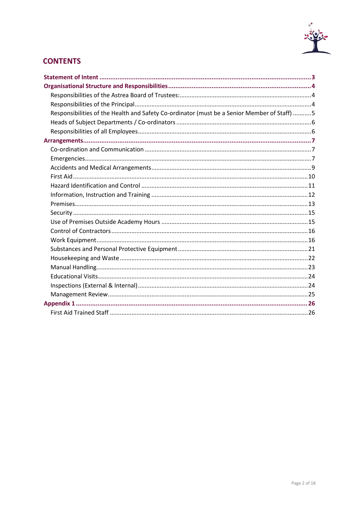

# **CONTENTS**

| Responsibilities of the Health and Safety Co-ordinator (must be a Senior Member of Staff)  5 |
|----------------------------------------------------------------------------------------------|
|                                                                                              |
|                                                                                              |
|                                                                                              |
|                                                                                              |
|                                                                                              |
|                                                                                              |
|                                                                                              |
|                                                                                              |
|                                                                                              |
|                                                                                              |
|                                                                                              |
|                                                                                              |
|                                                                                              |
|                                                                                              |
|                                                                                              |
|                                                                                              |
|                                                                                              |
|                                                                                              |
|                                                                                              |
|                                                                                              |
|                                                                                              |
|                                                                                              |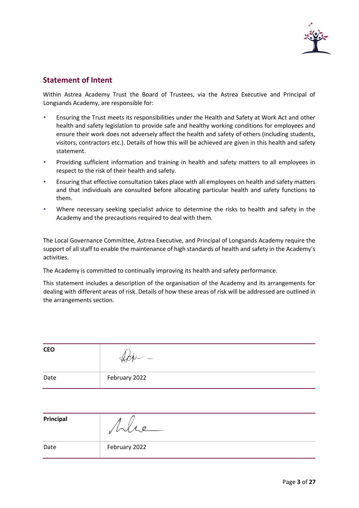

### <span id="page-2-0"></span>**Statement of Intent**

Within Astrea Academy Trust the Board of Trustees, via the Astrea Executive and Principal of Longsands Academy, are responsible for:

- Ensuring the Trust meets its responsibilities under the Health and Safety at Work Act and other health and safety legislation to provide safe and healthy working conditions for employees and ensure their work does not adversely affect the health and safety of others (including students, visitors, contractors etc.). Details of how this will be achieved are given in this health and safety statement.
- Providing sufficient information and training in health and safety matters to all employees in respect to the risk of their health and safety.
- Ensuring that effective consultation takes place with all employees on health and safety matters and that individuals are consulted before allocating particular health and safety functions to them.
- Where necessary seeking specialist advice to determine the risks to health and safety in the Academy and the precautions required to deal with them.

The Local Governance Committee, Astrea Executive, and Principal of Longsands Academy require the support of all staff to enable the maintenance of high standards of health and safety in the Academy's activities.

The Academy is committed to continually improving its health and safety performance.

This statement includes a description of the organisation of the Academy and its arrangements for dealing with different areas of risk. Details of how these areas of risk will be addressed are outlined in the arrangements section.

| <b>CEO</b> |               |
|------------|---------------|
| Date       | February 2022 |
|            |               |
| Principal  | 1.11e         |
| Date       | February 2022 |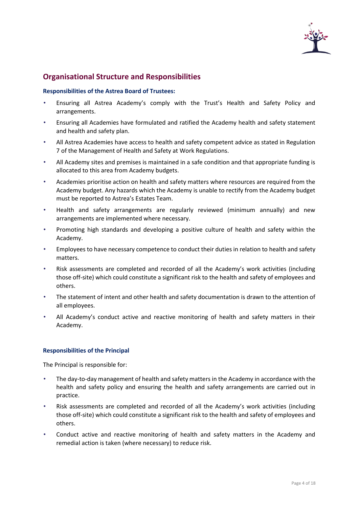

### <span id="page-3-0"></span>**Organisational Structure and Responsibilities**

#### <span id="page-3-1"></span>**Responsibilities of the Astrea Board of Trustees:**

- Ensuring all Astrea Academy's comply with the Trust's Health and Safety Policy and arrangements.
- Ensuring all Academies have formulated and ratified the Academy health and safety statement and health and safety plan.
- All Astrea Academies have access to health and safety competent advice as stated in Regulation 7 of the Management of Health and Safety at Work Regulations.
- All Academy sites and premises is maintained in a safe condition and that appropriate funding is allocated to this area from Academy budgets.
- Academies prioritise action on health and safety matters where resources are required from the Academy budget. Any hazards which the Academy is unable to rectify from the Academy budget must be reported to Astrea's Estates Team.
- Health and safety arrangements are regularly reviewed (minimum annually) and new arrangements are implemented where necessary.
- Promoting high standards and developing a positive culture of health and safety within the Academy.
- Employees to have necessary competence to conduct their duties in relation to health and safety matters.
- Risk assessments are completed and recorded of all the Academy's work activities (including those off-site) which could constitute a significant risk to the health and safety of employees and others.
- The statement of intent and other health and safety documentation is drawn to the attention of all employees.
- All Academy's conduct active and reactive monitoring of health and safety matters in their Academy.

### <span id="page-3-2"></span>**Responsibilities of the Principal**

The Principal is responsible for:

- The day-to-day management of health and safety matters in the Academy in accordance with the health and safety policy and ensuring the health and safety arrangements are carried out in practice.
- Risk assessments are completed and recorded of all the Academy's work activities (including those off-site) which could constitute a significant risk to the health and safety of employees and others.
- Conduct active and reactive monitoring of health and safety matters in the Academy and remedial action is taken (where necessary) to reduce risk.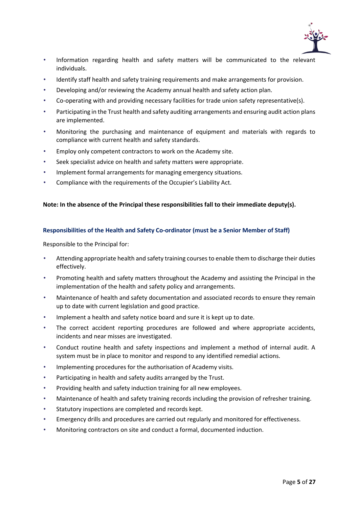

- Information regarding health and safety matters will be communicated to the relevant individuals.
- Identify staff health and safety training requirements and make arrangements for provision.
- Developing and/or reviewing the Academy annual health and safety action plan.
- Co-operating with and providing necessary facilities for trade union safety representative(s).
- Participating in the Trust health and safety auditing arrangements and ensuring audit action plans are implemented.
- Monitoring the purchasing and maintenance of equipment and materials with regards to compliance with current health and safety standards.
- Employ only competent contractors to work on the Academy site.
- Seek specialist advice on health and safety matters were appropriate.
- Implement formal arrangements for managing emergency situations.
- Compliance with the requirements of the Occupier's Liability Act.

#### **Note: In the absence of the Principal these responsibilities fall to their immediate deputy(s).**

#### <span id="page-4-0"></span>**Responsibilities of the Health and Safety Co-ordinator (must be a Senior Member of Staff)**

Responsible to the Principal for:

- Attending appropriate health and safety training courses to enable them to discharge their duties effectively.
- Promoting health and safety matters throughout the Academy and assisting the Principal in the implementation of the health and safety policy and arrangements.
- Maintenance of health and safety documentation and associated records to ensure they remain up to date with current legislation and good practice.
- Implement a health and safety notice board and sure it is kept up to date.
- The correct accident reporting procedures are followed and where appropriate accidents, incidents and near misses are investigated.
- Conduct routine health and safety inspections and implement a method of internal audit. A system must be in place to monitor and respond to any identified remedial actions.
- Implementing procedures for the authorisation of Academy visits.
- Participating in health and safety audits arranged by the Trust.
- Providing health and safety induction training for all new employees.
- Maintenance of health and safety training records including the provision of refresher training.
- Statutory inspections are completed and records kept.
- Emergency drills and procedures are carried out regularly and monitored for effectiveness.
- Monitoring contractors on site and conduct a formal, documented induction.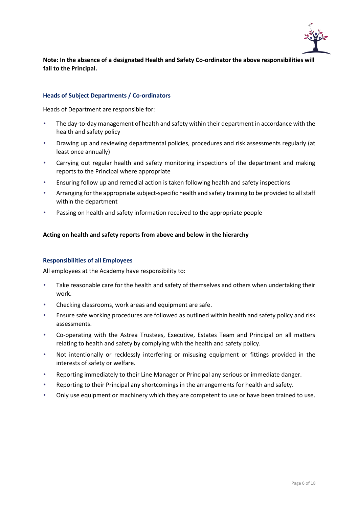

**Note: In the absence of a designated Health and Safety Co-ordinator the above responsibilities will fall to the Principal.** 

#### <span id="page-5-0"></span>**Heads of Subject Departments / Co-ordinators**

Heads of Department are responsible for:

- The day-to-day management of health and safety within their department in accordance with the health and safety policy
- Drawing up and reviewing departmental policies, procedures and risk assessments regularly (at least once annually)
- Carrying out regular health and safety monitoring inspections of the department and making reports to the Principal where appropriate
- Ensuring follow up and remedial action is taken following health and safety inspections
- Arranging for the appropriate subject-specific health and safety training to be provided to all staff within the department
- Passing on health and safety information received to the appropriate people

#### **Acting on health and safety reports from above and below in the hierarchy**

#### <span id="page-5-1"></span>**Responsibilities of all Employees**

All employees at the Academy have responsibility to:

- Take reasonable care for the health and safety of themselves and others when undertaking their work.
- Checking classrooms, work areas and equipment are safe.
- Ensure safe working procedures are followed as outlined within health and safety policy and risk assessments.
- Co-operating with the Astrea Trustees, Executive, Estates Team and Principal on all matters relating to health and safety by complying with the health and safety policy.
- Not intentionally or recklessly interfering or misusing equipment or fittings provided in the interests of safety or welfare.
- Reporting immediately to their Line Manager or Principal any serious or immediate danger.
- Reporting to their Principal any shortcomings in the arrangements for health and safety.
- Only use equipment or machinery which they are competent to use or have been trained to use.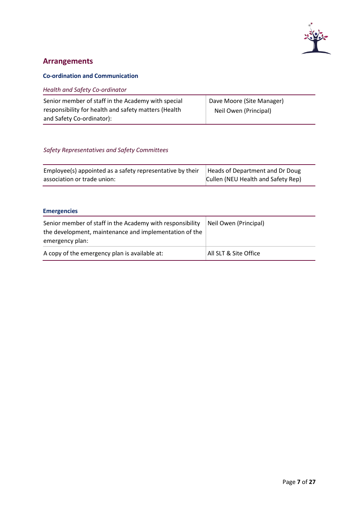

### <span id="page-6-0"></span>**Arrangements**

### <span id="page-6-1"></span>**Co-ordination and Communication**

| <b>Health and Safety Co-ordinator</b>                                                                                                   |                                                    |
|-----------------------------------------------------------------------------------------------------------------------------------------|----------------------------------------------------|
| Senior member of staff in the Academy with special<br>responsibility for health and safety matters (Health<br>and Safety Co-ordinator): | Dave Moore (Site Manager)<br>Neil Owen (Principal) |

### *Safety Representatives and Safety Committees*

| Employee(s) appointed as a safety representative by their | Heads of Department and Dr Doug    |
|-----------------------------------------------------------|------------------------------------|
| association or trade union:                               | Cullen (NEU Health and Safety Rep) |

# <span id="page-6-2"></span>**Emergencies**

| Senior member of staff in the Academy with responsibility<br>the development, maintenance and implementation of the<br>emergency plan: | Neil Owen (Principal) |
|----------------------------------------------------------------------------------------------------------------------------------------|-----------------------|
| A copy of the emergency plan is available at:                                                                                          | All SLT & Site Office |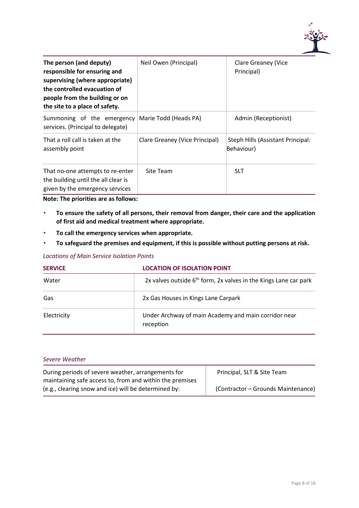

| The person (and deputy)<br>responsible for ensuring and<br>supervising (where appropriate)<br>the controlled evacuation of<br>people from the building or on<br>the site to a place of safety. | Neil Owen (Principal)          | Clare Greaney (Vice<br>Principal)               |
|------------------------------------------------------------------------------------------------------------------------------------------------------------------------------------------------|--------------------------------|-------------------------------------------------|
| Summoning of the emergency<br>services. (Principal to delegate)                                                                                                                                | Marie Todd (Heads PA)          | Admin (Receptionist)                            |
| That a roll call is taken at the<br>assembly point                                                                                                                                             | Clare Greaney (Vice Principal) | Steph Hills (Assistant Principal:<br>Behaviour) |
| That no-one attempts to re-enter<br>the building until the all clear is<br>given by the emergency services                                                                                     | Site Team                      | <b>SLT</b>                                      |

**Note: The priorities are as follows:** 

- **To ensure the safety of all persons, their removal from danger, their care and the application of first aid and medical treatment where appropriate.**
- **To call the emergency services when appropriate.**
- **To safeguard the premises and equipment, if this is possible without putting persons at risk.**

#### *Locations of Main Service Isolation Points*

| <b>SERVICE</b> | <b>LOCATION OF ISOLATION POINT</b>                                           |
|----------------|------------------------------------------------------------------------------|
| Water          | 2x valves outside 6 <sup>th</sup> form, 2x valves in the Kings Lane car park |
| Gas            | 2x Gas Houses in Kings Lane Carpark                                          |
| Electricity    | Under Archway of main Academy and main corridor near<br>reception            |

| Severe Weather                                           |                                    |  |
|----------------------------------------------------------|------------------------------------|--|
| During periods of severe weather, arrangements for       | Principal, SLT & Site Team         |  |
| maintaining safe access to, from and within the premises |                                    |  |
| (e.g., clearing snow and ice) will be determined by:     | (Contractor – Grounds Maintenance) |  |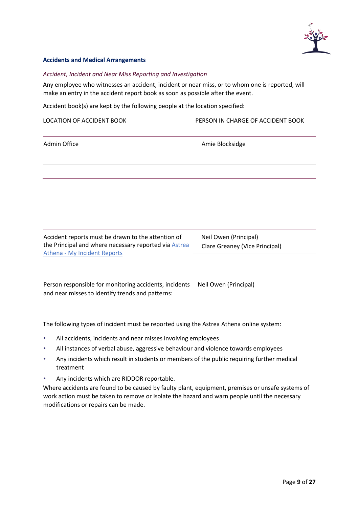

#### <span id="page-8-0"></span>**Accidents and Medical Arrangements**

#### *Accident, Incident and Near Miss Reporting and Investigation*

Any employee who witnesses an accident, incident or near miss, or to whom one is reported, will make an entry in the accident report book as soon as possible after the event.

Accident book(s) are kept by the following people at the location specified:

LOCATION OF ACCIDENT BOOK PERSON IN CHARGE OF ACCIDENT BOOK

| Admin Office | Amie Blocksidge |
|--------------|-----------------|
|              |                 |
|              |                 |

| Accident reports must be drawn to the attention of<br>the Principal and where necessary reported via Astrea<br>Athena - My Incident Reports | Neil Owen (Principal)<br>Clare Greaney (Vice Principal) |
|---------------------------------------------------------------------------------------------------------------------------------------------|---------------------------------------------------------|
| Person responsible for monitoring accidents, incidents<br>and near misses to identify trends and patterns:                                  | Neil Owen (Principal)                                   |

The following types of incident must be reported using the Astrea Athena online system:

- All accidents, incidents and near misses involving employees
- All instances of verbal abuse, aggressive behaviour and violence towards employees
- Any incidents which result in students or members of the public requiring further medical treatment
- Any incidents which are RIDDOR reportable.

Where accidents are found to be caused by faulty plant, equipment, premises or unsafe systems of work action must be taken to remove or isolate the hazard and warn people until the necessary modifications or repairs can be made.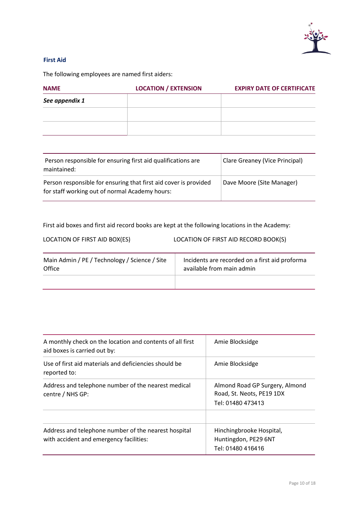

#### <span id="page-9-0"></span>**First Aid**

The following employees are named first aiders:

| <b>NAME</b>    | <b>LOCATION / EXTENSION</b> | <b>EXPIRY DATE OF CERTIFICATE</b> |
|----------------|-----------------------------|-----------------------------------|
| See appendix 1 |                             |                                   |
|                |                             |                                   |
|                |                             |                                   |

| Person responsible for ensuring first aid qualifications are<br>maintained:                                        | Clare Greaney (Vice Principal) |
|--------------------------------------------------------------------------------------------------------------------|--------------------------------|
| Person responsible for ensuring that first aid cover is provided<br>for staff working out of normal Academy hours: | Dave Moore (Site Manager)      |

First aid boxes and first aid record books are kept at the following locations in the Academy:

| LOCATION OF FIRST AID BOX(ES) |  |
|-------------------------------|--|
|-------------------------------|--|

S) LOCATION OF FIRST AID RECORD BOOK(S)

| Main Admin / PE / Technology / Science / Site | Incidents are recorded on a first aid proforma |
|-----------------------------------------------|------------------------------------------------|
| Office                                        | available from main admin                      |
|                                               |                                                |

| A monthly check on the location and contents of all first<br>aid boxes is carried out by:       | Amie Blocksidge                                                                  |
|-------------------------------------------------------------------------------------------------|----------------------------------------------------------------------------------|
| Use of first aid materials and deficiencies should be<br>reported to:                           | Amie Blocksidge                                                                  |
| Address and telephone number of the nearest medical<br>centre / NHS GP:                         | Almond Road GP Surgery, Almond<br>Road, St. Neots, PE19 1DX<br>Tel: 01480 473413 |
| Address and telephone number of the nearest hospital<br>with accident and emergency facilities: | Hinchingbrooke Hospital,<br>Huntingdon, PE29 6NT<br>Tel: 01480 416416            |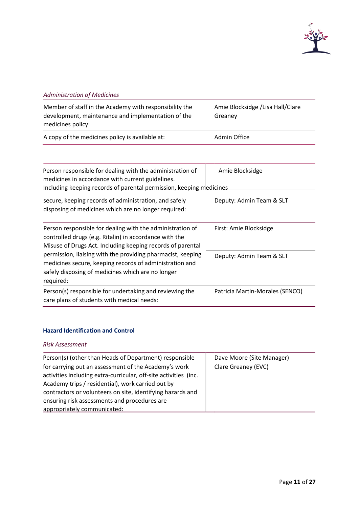

#### *Administration of Medicines*

| Member of staff in the Academy with responsibility the<br>development, maintenance and implementation of the<br>medicines policy: | Amie Blocksidge / Lisa Hall/Clare<br>Greaney |
|-----------------------------------------------------------------------------------------------------------------------------------|----------------------------------------------|
| A copy of the medicines policy is available at:                                                                                   | Admin Office                                 |

| Person responsible for dealing with the administration of<br>medicines in accordance with current guidelines.<br>Including keeping records of parental permission, keeping medicines                                                                                                                                                                                          | Amie Blocksidge                 |
|-------------------------------------------------------------------------------------------------------------------------------------------------------------------------------------------------------------------------------------------------------------------------------------------------------------------------------------------------------------------------------|---------------------------------|
| secure, keeping records of administration, and safely<br>disposing of medicines which are no longer required:                                                                                                                                                                                                                                                                 | Deputy: Admin Team & SLT        |
| Person responsible for dealing with the administration of<br>controlled drugs (e.g. Ritalin) in accordance with the<br>Misuse of Drugs Act. Including keeping records of parental<br>permission, liaising with the providing pharmacist, keeping<br>medicines secure, keeping records of administration and<br>safely disposing of medicines which are no longer<br>required: | First: Amie Blocksidge          |
|                                                                                                                                                                                                                                                                                                                                                                               | Deputy: Admin Team & SLT        |
| Person(s) responsible for undertaking and reviewing the<br>care plans of students with medical needs:                                                                                                                                                                                                                                                                         | Patricia Martin-Morales (SENCO) |

### <span id="page-10-0"></span>**Hazard Identification and Control**

### *Risk Assessment*

| Person(s) (other than Heads of Department) responsible                                                                                                                        | Dave Moore (Site Manager) |
|-------------------------------------------------------------------------------------------------------------------------------------------------------------------------------|---------------------------|
| for carrying out an assessment of the Academy's work<br>activities including extra-curricular, off-site activities (inc.<br>Academy trips / residential), work carried out by | Clare Greaney (EVC)       |
| contractors or volunteers on site, identifying hazards and<br>ensuring risk assessments and procedures are                                                                    |                           |
| appropriately communicated:                                                                                                                                                   |                           |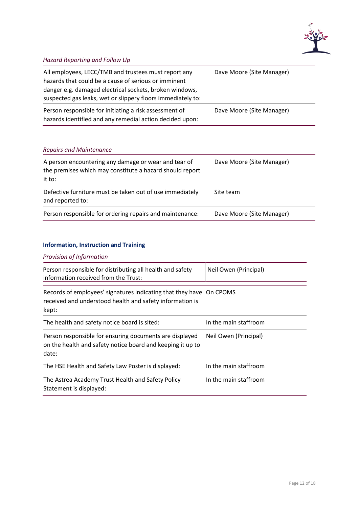

## *Hazard Reporting and Follow Up*

| All employees, LECC/TMB and trustees must report any<br>hazards that could be a cause of serious or imminent<br>danger e.g. damaged electrical sockets, broken windows,<br>suspected gas leaks, wet or slippery floors immediately to: | Dave Moore (Site Manager) |
|----------------------------------------------------------------------------------------------------------------------------------------------------------------------------------------------------------------------------------------|---------------------------|
| Person responsible for initiating a risk assessment of<br>hazards identified and any remedial action decided upon:                                                                                                                     | Dave Moore (Site Manager) |

### *Repairs and Maintenance*

| A person encountering any damage or wear and tear of<br>the premises which may constitute a hazard should report<br>it to: | Dave Moore (Site Manager) |
|----------------------------------------------------------------------------------------------------------------------------|---------------------------|
| Defective furniture must be taken out of use immediately<br>and reported to:                                               | Site team                 |
| Person responsible for ordering repairs and maintenance:                                                                   | Dave Moore (Site Manager) |

### <span id="page-11-0"></span>**Information, Instruction and Training**

### *Provision of Information*

| Person responsible for distributing all health and safety<br>information received from the Trust:                               | Neil Owen (Principal) |
|---------------------------------------------------------------------------------------------------------------------------------|-----------------------|
| Records of employees' signatures indicating that they have<br>received and understood health and safety information is<br>kept: | On CPOMS              |
| The health and safety notice board is sited:                                                                                    | In the main staffroom |
| Person responsible for ensuring documents are displayed<br>on the health and safety notice board and keeping it up to<br>date:  | Neil Owen (Principal) |
| The HSE Health and Safety Law Poster is displayed:                                                                              | In the main staffroom |
| The Astrea Academy Trust Health and Safety Policy<br>Statement is displayed:                                                    | In the main staffroom |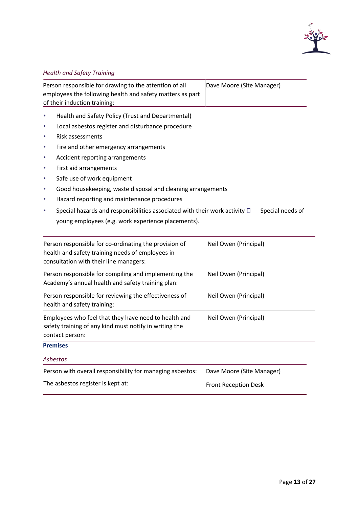

### *Health and Safety Training*

| Person responsible for drawing to the attention of all    | Dave Moore (Site Manager) |
|-----------------------------------------------------------|---------------------------|
| employees the following health and safety matters as part |                           |
| of their induction training:                              |                           |

- Health and Safety Policy (Trust and Departmental)
- Local asbestos register and disturbance procedure
- Risk assessments
- Fire and other emergency arrangements
- Accident reporting arrangements
- First aid arrangements
- Safe use of work equipment
- Good housekeeping, waste disposal and cleaning arrangements
- Hazard reporting and maintenance procedures
- Special hazards and responsibilities associated with their work activity  $\square$  Special needs of young employees (e.g. work experience placements).

| Person responsible for co-ordinating the provision of<br>health and safety training needs of employees in<br>consultation with their line managers: | Neil Owen (Principal) |
|-----------------------------------------------------------------------------------------------------------------------------------------------------|-----------------------|
| Person responsible for compiling and implementing the<br>Academy's annual health and safety training plan:                                          | Neil Owen (Principal) |
| Person responsible for reviewing the effectiveness of<br>health and safety training:                                                                | Neil Owen (Principal) |
| Employees who feel that they have need to health and<br>safety training of any kind must notify in writing the<br>contact person:                   | Neil Owen (Principal) |
|                                                                                                                                                     |                       |

#### <span id="page-12-0"></span>**Premises**

#### *Asbestos*

| Person with overall responsibility for managing asbestos: | Dave Moore (Site Manager)   |
|-----------------------------------------------------------|-----------------------------|
| The asbestos register is kept at:                         | <b>Front Reception Desk</b> |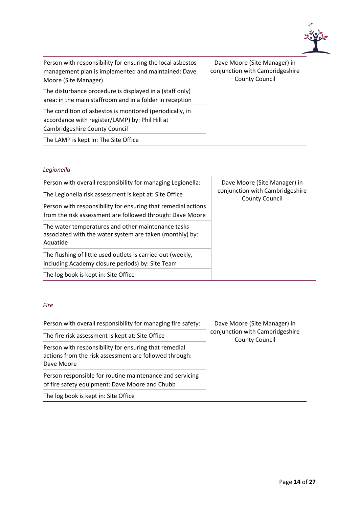

| Person with responsibility for ensuring the local asbestos<br>management plan is implemented and maintained: Dave<br>Moore (Site Manager)    | Dave Moore (Site Manager) in<br>conjunction with Cambridgeshire<br><b>County Council</b> |
|----------------------------------------------------------------------------------------------------------------------------------------------|------------------------------------------------------------------------------------------|
| The disturbance procedure is displayed in a (staff only)<br>area: in the main staffroom and in a folder in reception                         |                                                                                          |
| The condition of asbestos is monitored (periodically, in<br>accordance with register/LAMP) by: Phil Hill at<br>Cambridgeshire County Council |                                                                                          |
| The LAMP is kept in: The Site Office                                                                                                         |                                                                                          |

### *Legionella*

| Person with overall responsibility for managing Legionella:                                                                | Dave Moore (Site Manager) in<br>conjunction with Cambridgeshire<br><b>County Council</b> |
|----------------------------------------------------------------------------------------------------------------------------|------------------------------------------------------------------------------------------|
| The Legionella risk assessment is kept at: Site Office                                                                     |                                                                                          |
| Person with responsibility for ensuring that remedial actions<br>from the risk assessment are followed through: Dave Moore |                                                                                          |
| The water temperatures and other maintenance tasks<br>associated with the water system are taken (monthly) by:<br>Aquatide |                                                                                          |
| The flushing of little used outlets is carried out (weekly,<br>including Academy closure periods) by: Site Team            |                                                                                          |
| The log book is kept in: Site Office                                                                                       |                                                                                          |

#### *Fire*

| Person with overall responsibility for managing fire safety:                                                                  | Dave Moore (Site Manager) in<br>conjunction with Cambridgeshire<br><b>County Council</b> |
|-------------------------------------------------------------------------------------------------------------------------------|------------------------------------------------------------------------------------------|
| The fire risk assessment is kept at: Site Office                                                                              |                                                                                          |
| Person with responsibility for ensuring that remedial<br>actions from the risk assessment are followed through:<br>Dave Moore |                                                                                          |
| Person responsible for routine maintenance and servicing<br>of fire safety equipment: Dave Moore and Chubb                    |                                                                                          |
| The log book is kept in: Site Office                                                                                          |                                                                                          |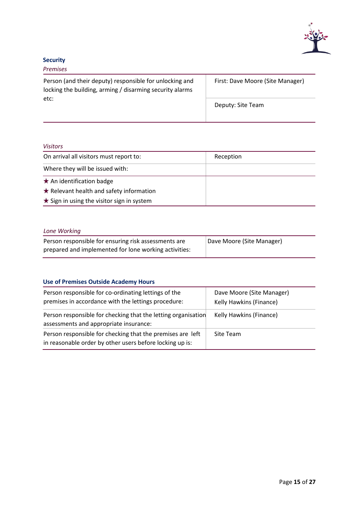

### <span id="page-14-0"></span>**Security**

*Premises* 

Person (and their deputy) responsible for unlocking and locking the building, arming / disarming security alarms etc:

First: Dave Moore (Site Manager)

Deputy: Site Team

#### *Visitors*

| On arrival all visitors must report to:          | Reception |
|--------------------------------------------------|-----------|
| Where they will be issued with:                  |           |
| $\star$ An identification badge                  |           |
| $\star$ Relevant health and safety information   |           |
| $\star$ Sign in using the visitor sign in system |           |

#### *Lone Working*

| Person responsible for ensuring risk assessments are  | Dave Moore (Site Manager) |
|-------------------------------------------------------|---------------------------|
| prepared and implemented for lone working activities: |                           |

### <span id="page-14-1"></span>**Use of Premises Outside Academy Hours**

| Person responsible for co-ordinating lettings of the<br>premises in accordance with the lettings procedure:            | Dave Moore (Site Manager)<br>Kelly Hawkins (Finance) |
|------------------------------------------------------------------------------------------------------------------------|------------------------------------------------------|
| Person responsible for checking that the letting organisation<br>assessments and appropriate insurance:                | Kelly Hawkins (Finance)                              |
| Person responsible for checking that the premises are left<br>in reasonable order by other users before locking up is: | Site Team                                            |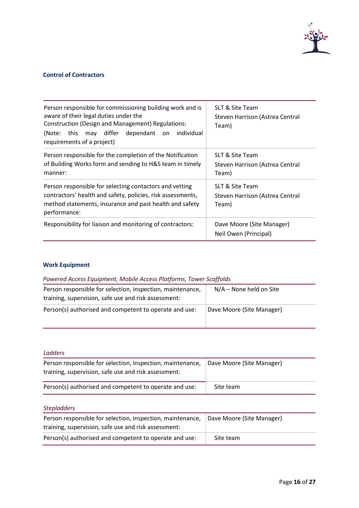

### <span id="page-15-0"></span>**Control of Contractors**

| Person responsible for commissioning building work and is<br>aware of their legal duties under the<br>Construction (Design and Management) Regulations:<br>may differ dependant<br>individual<br>(Note: this<br>on<br>requirements of a project) | SLT & Site Team<br>Steven Harrison (Astrea Central<br>Team) |
|--------------------------------------------------------------------------------------------------------------------------------------------------------------------------------------------------------------------------------------------------|-------------------------------------------------------------|
| Person responsible for the completion of the Notification<br>of Building Works form and sending to H&S team in timely<br>manner:                                                                                                                 | SLT & Site Team<br>Steven Harrison (Astrea Central<br>Team) |
| Person responsible for selecting contactors and vetting<br>contractors' health and safety, policies, risk assessments,<br>method statements, insurance and past health and safety<br>performance:                                                | SLT & Site Team<br>Steven Harrison (Astrea Central<br>Team) |
| Responsibility for liaison and monitoring of contractors:                                                                                                                                                                                        | Dave Moore (Site Manager)<br>Neil Owen (Principal)          |

### <span id="page-15-1"></span>**Work Equipment**

### *Powered Access Equipment, Mobile Access Platforms, Tower Scaffolds*

| Person responsible for selection, inspection, maintenance,<br>training, supervision, safe use and risk assessment: | $N/A$ – None held on Site |
|--------------------------------------------------------------------------------------------------------------------|---------------------------|
| Person(s) authorised and competent to operate and use:                                                             | Dave Moore (Site Manager) |

### *Ladders*

| Person responsible for selection, inspection, maintenance,<br>training, supervision, safe use and risk assessment: | Dave Moore (Site Manager) |
|--------------------------------------------------------------------------------------------------------------------|---------------------------|
| Person(s) authorised and competent to operate and use:                                                             | Site team                 |

### *Stepladders*

| Person responsible for selection, inspection, maintenance, | Dave Moore (Site Manager) |
|------------------------------------------------------------|---------------------------|
| training, supervision, safe use and risk assessment:       |                           |
| Person(s) authorised and competent to operate and use:     | Site team                 |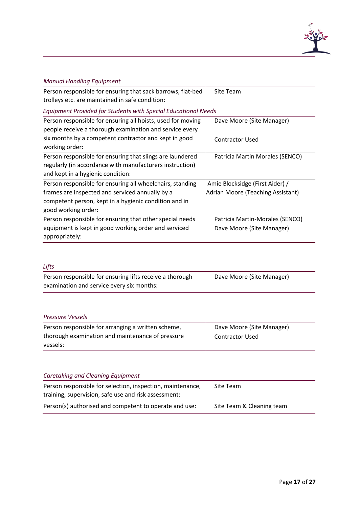

### *Manual Handling Equipment*

| Person responsible for ensuring that sack barrows, flat-bed           | Site Team                         |
|-----------------------------------------------------------------------|-----------------------------------|
| trolleys etc. are maintained in safe condition:                       |                                   |
| <b>Equipment Provided for Students with Special Educational Needs</b> |                                   |
| Person responsible for ensuring all hoists, used for moving           | Dave Moore (Site Manager)         |
| people receive a thorough examination and service every               |                                   |
| six months by a competent contractor and kept in good                 | <b>Contractor Used</b>            |
| working order:                                                        |                                   |
| Person responsible for ensuring that slings are laundered             | Patricia Martin Morales (SENCO)   |
| regularly (in accordance with manufacturers instruction)              |                                   |
| and kept in a hygienic condition:                                     |                                   |
| Person responsible for ensuring all wheelchairs, standing             | Amie Blocksidge (First Aider) /   |
| frames are inspected and serviced annually by a                       | Adrian Moore (Teaching Assistant) |
| competent person, kept in a hygienic condition and in                 |                                   |
| good working order:                                                   |                                   |
| Person responsible for ensuring that other special needs              | Patricia Martin-Morales (SENCO)   |
| equipment is kept in good working order and serviced                  | Dave Moore (Site Manager)         |
| appropriately:                                                        |                                   |

### *Lifts*

| -- - - -                                                 |                           |
|----------------------------------------------------------|---------------------------|
| Person responsible for ensuring lifts receive a thorough | Dave Moore (Site Manager) |
| examination and service every six months:                |                           |

### *Pressure Vessels*

| Person responsible for arranging a written scheme, | Dave Moore (Site Manager) |
|----------------------------------------------------|---------------------------|
| thorough examination and maintenance of pressure   | <b>Contractor Used</b>    |
| vessels:                                           |                           |

### *Caretaking and Cleaning Equipment*

| Person responsible for selection, inspection, maintenance,<br>training, supervision, safe use and risk assessment: | Site Team                 |
|--------------------------------------------------------------------------------------------------------------------|---------------------------|
| Person(s) authorised and competent to operate and use:                                                             | Site Team & Cleaning team |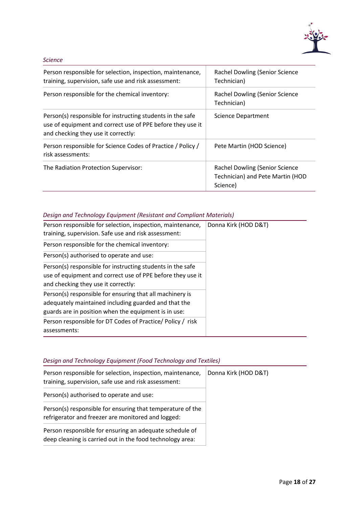

#### *Science*

| Person responsible for selection, inspection, maintenance,<br>training, supervision, safe use and risk assessment:                                              | Rachel Dowling (Senior Science<br>Technician)                                  |
|-----------------------------------------------------------------------------------------------------------------------------------------------------------------|--------------------------------------------------------------------------------|
| Person responsible for the chemical inventory:                                                                                                                  | Rachel Dowling (Senior Science<br>Technician)                                  |
| Person(s) responsible for instructing students in the safe<br>use of equipment and correct use of PPE before they use it<br>and checking they use it correctly: | Science Department                                                             |
| Person responsible for Science Codes of Practice / Policy /<br>risk assessments:                                                                                | Pete Martin (HOD Science)                                                      |
| The Radiation Protection Supervisor:                                                                                                                            | Rachel Dowling (Senior Science<br>Technician) and Pete Martin (HOD<br>Science) |

### *Design and Technology Equipment (Resistant and Compliant Materials)*

| Person responsible for selection, inspection, maintenance,<br>training, supervision. Safe use and risk assessment:                                                       | Donna Kirk (HOD D&T) |
|--------------------------------------------------------------------------------------------------------------------------------------------------------------------------|----------------------|
| Person responsible for the chemical inventory:                                                                                                                           |                      |
| Person(s) authorised to operate and use:                                                                                                                                 |                      |
| Person(s) responsible for instructing students in the safe<br>use of equipment and correct use of PPE before they use it<br>and checking they use it correctly:          |                      |
| Person(s) responsible for ensuring that all machinery is<br>adequately maintained including guarded and that the<br>guards are in position when the equipment is in use: |                      |
| Person responsible for DT Codes of Practice/Policy / risk<br>assessments:                                                                                                |                      |

### *Design and Technology Equipment (Food Technology and Textiles)*

| Person responsible for selection, inspection, maintenance,<br>training, supervision, safe use and risk assessment:   | Donna Kirk (HOD D&T) |
|----------------------------------------------------------------------------------------------------------------------|----------------------|
| Person(s) authorised to operate and use:                                                                             |                      |
| Person(s) responsible for ensuring that temperature of the<br>refrigerator and freezer are monitored and logged:     |                      |
| Person responsible for ensuring an adequate schedule of<br>deep cleaning is carried out in the food technology area: |                      |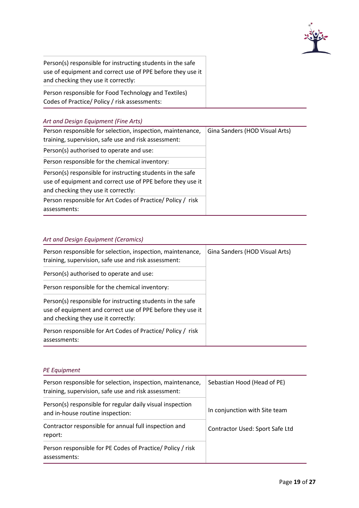

Person(s) responsible for instructing students in the safe use of equipment and correct use of PPE before they use it and checking they use it correctly:

Person responsible for Food Technology and Textiles) Codes of Practice/ Policy / risk assessments:

### *Art and Design Equipment (Fine Arts)*

| Person responsible for selection, inspection, maintenance,<br>training, supervision, safe use and risk assessment:                                              | Gina Sanders (HOD Visual Arts) |
|-----------------------------------------------------------------------------------------------------------------------------------------------------------------|--------------------------------|
| Person(s) authorised to operate and use:                                                                                                                        |                                |
| Person responsible for the chemical inventory:                                                                                                                  |                                |
| Person(s) responsible for instructing students in the safe<br>use of equipment and correct use of PPE before they use it<br>and checking they use it correctly: |                                |
| Person responsible for Art Codes of Practice/Policy / risk<br>assessments:                                                                                      |                                |

### *Art and Design Equipment (Ceramics)*

| Person responsible for selection, inspection, maintenance,<br>training, supervision, safe use and risk assessment:                                              | Gina Sanders (HOD Visual Arts) |
|-----------------------------------------------------------------------------------------------------------------------------------------------------------------|--------------------------------|
| Person(s) authorised to operate and use:                                                                                                                        |                                |
| Person responsible for the chemical inventory:                                                                                                                  |                                |
| Person(s) responsible for instructing students in the safe<br>use of equipment and correct use of PPE before they use it<br>and checking they use it correctly: |                                |
| Person responsible for Art Codes of Practice/Policy / risk<br>assessments:                                                                                      |                                |

#### *PE Equipment*

| Person responsible for selection, inspection, maintenance,<br>training, supervision, safe use and risk assessment: | Sebastian Hood (Head of PE)<br>In conjunction with Site team<br>Contractor Used: Sport Safe Ltd |
|--------------------------------------------------------------------------------------------------------------------|-------------------------------------------------------------------------------------------------|
| Person(s) responsible for regular daily visual inspection<br>and in-house routine inspection:                      |                                                                                                 |
| Contractor responsible for annual full inspection and<br>report:                                                   |                                                                                                 |
| Person responsible for PE Codes of Practice/Policy / risk<br>assessments:                                          |                                                                                                 |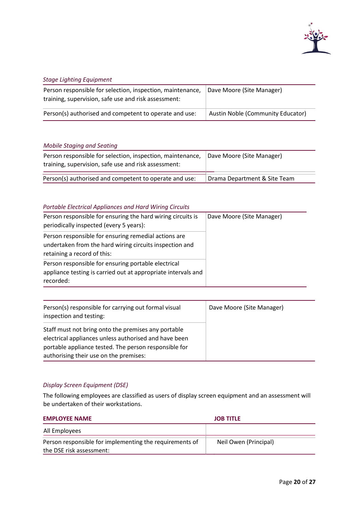

#### *Stage Lighting Equipment*

| Person responsible for selection, inspection, maintenance,<br>training, supervision, safe use and risk assessment: | Dave Moore (Site Manager)                |
|--------------------------------------------------------------------------------------------------------------------|------------------------------------------|
| Person(s) authorised and competent to operate and use:                                                             | <b>Austin Noble (Community Educator)</b> |

### *Mobile Staging and Seating*

| Person responsible for selection, inspection, maintenance,<br>training, supervision, safe use and risk assessment: | Dave Moore (Site Manager)    |
|--------------------------------------------------------------------------------------------------------------------|------------------------------|
| Person(s) authorised and competent to operate and use:                                                             | Drama Department & Site Team |

#### *Portable Electrical Appliances and Hard Wiring Circuits*

| Person responsible for ensuring the hard wiring circuits is<br>periodically inspected (every 5 years):                                         | Dave Moore (Site Manager) |
|------------------------------------------------------------------------------------------------------------------------------------------------|---------------------------|
| Person responsible for ensuring remedial actions are<br>undertaken from the hard wiring circuits inspection and<br>retaining a record of this: |                           |
| Person responsible for ensuring portable electrical<br>appliance testing is carried out at appropriate intervals and<br>recorded:              |                           |

| Person(s) responsible for carrying out formal visual<br>inspection and testing:                                                                                                                                 | Dave Moore (Site Manager) |
|-----------------------------------------------------------------------------------------------------------------------------------------------------------------------------------------------------------------|---------------------------|
| Staff must not bring onto the premises any portable<br>electrical appliances unless authorised and have been<br>portable appliance tested. The person responsible for<br>authorising their use on the premises: |                           |

### *Display Screen Equipment (DSE)*

The following employees are classified as users of display screen equipment and an assessment will be undertaken of their workstations.

| Neil Owen (Principal) |
|-----------------------|
|                       |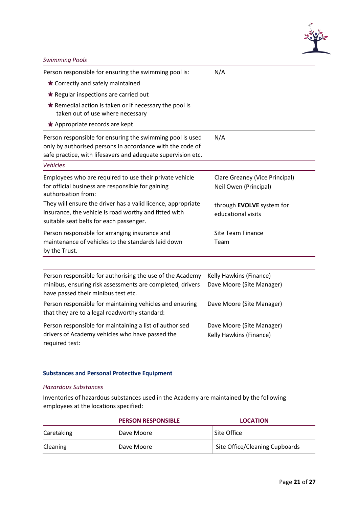

### *Swimming Pools*

| Person responsible for ensuring the swimming pool is:                                                                                                                                  | N/A                                                     |
|----------------------------------------------------------------------------------------------------------------------------------------------------------------------------------------|---------------------------------------------------------|
| ★ Correctly and safely maintained                                                                                                                                                      |                                                         |
| ★ Regular inspections are carried out                                                                                                                                                  |                                                         |
| $\star$ Remedial action is taken or if necessary the pool is<br>taken out of use where necessary                                                                                       |                                                         |
| $\star$ Appropriate records are kept                                                                                                                                                   |                                                         |
| Person responsible for ensuring the swimming pool is used<br>only by authorised persons in accordance with the code of<br>safe practice, with lifesavers and adequate supervision etc. | N/A                                                     |
| <b>Vehicles</b>                                                                                                                                                                        |                                                         |
| Employees who are required to use their private vehicle<br>for official business are responsible for gaining<br>authorisation from:                                                    | Clare Greaney (Vice Principal)<br>Neil Owen (Principal) |
| They will ensure the driver has a valid licence, appropriate<br>insurance, the vehicle is road worthy and fitted with<br>suitable seat belts for each passenger.                       | through <b>EVOLVE</b> system for<br>educational visits  |
| Person responsible for arranging insurance and<br>maintenance of vehicles to the standards laid down<br>by the Trust.                                                                  | Site Team Finance<br>Team                               |

| Person responsible for authorising the use of the Academy<br>minibus, ensuring risk assessments are completed, drivers<br>have passed their minibus test etc. | Kelly Hawkins (Finance)<br>Dave Moore (Site Manager) |
|---------------------------------------------------------------------------------------------------------------------------------------------------------------|------------------------------------------------------|
| Person responsible for maintaining vehicles and ensuring<br>that they are to a legal roadworthy standard:                                                     | Dave Moore (Site Manager)                            |
| Person responsible for maintaining a list of authorised<br>drivers of Academy vehicles who have passed the<br>required test:                                  | Dave Moore (Site Manager)<br>Kelly Hawkins (Finance) |

#### <span id="page-20-0"></span>**Substances and Personal Protective Equipment**

### *Hazardous Substances*

Inventories of hazardous substances used in the Academy are maintained by the following employees at the locations specified:

|            | <b>PERSON RESPONSIBLE</b> | <b>LOCATION</b>                |
|------------|---------------------------|--------------------------------|
| Caretaking | Dave Moore                | Site Office                    |
| Cleaning   | Dave Moore                | Site Office/Cleaning Cupboards |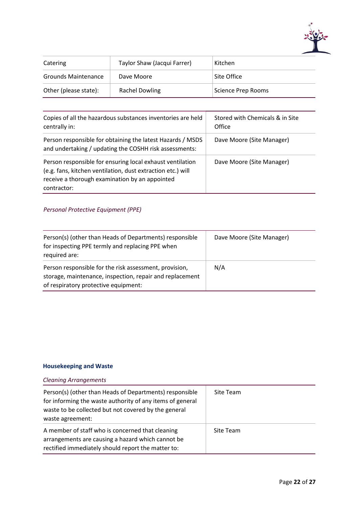

| Catering                   | Taylor Shaw (Jacqui Farrer) | Kitchen            |
|----------------------------|-----------------------------|--------------------|
| <b>Grounds Maintenance</b> | Dave Moore                  | Site Office        |
| Other (please state):      | Rachel Dowling              | Science Prep Rooms |

| Copies of all the hazardous substances inventories are held<br>centrally in:                                                                                                              | Stored with Chemicals & in Site<br>Office |
|-------------------------------------------------------------------------------------------------------------------------------------------------------------------------------------------|-------------------------------------------|
| Person responsible for obtaining the latest Hazards / MSDS<br>and undertaking / updating the COSHH risk assessments:                                                                      | Dave Moore (Site Manager)                 |
| Person responsible for ensuring local exhaust ventilation<br>(e.g. fans, kitchen ventilation, dust extraction etc.) will<br>receive a thorough examination by an appointed<br>contractor: | Dave Moore (Site Manager)                 |

### *Personal Protective Equipment (PPE)*

| Person(s) (other than Heads of Departments) responsible<br>for inspecting PPE termly and replacing PPE when<br>required are:                               | Dave Moore (Site Manager) |
|------------------------------------------------------------------------------------------------------------------------------------------------------------|---------------------------|
| Person responsible for the risk assessment, provision,<br>storage, maintenance, inspection, repair and replacement<br>of respiratory protective equipment: | N/A                       |

### <span id="page-21-0"></span>**Housekeeping and Waste**

### *Cleaning Arrangements*

| Person(s) (other than Heads of Departments) responsible<br>for informing the waste authority of any items of general<br>waste to be collected but not covered by the general<br>waste agreement: | Site Team |
|--------------------------------------------------------------------------------------------------------------------------------------------------------------------------------------------------|-----------|
| A member of staff who is concerned that cleaning<br>arrangements are causing a hazard which cannot be<br>rectified immediately should report the matter to:                                      | Site Team |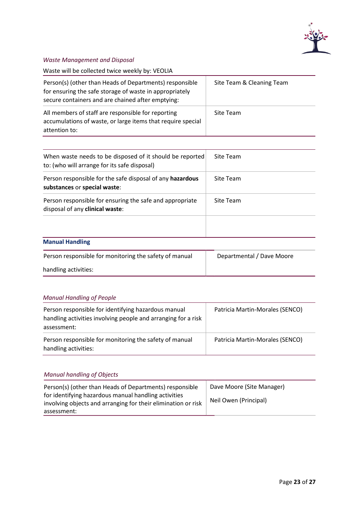

### *Waste Management and Disposal*

Waste will be collected twice weekly by: VEOLIA

| Person(s) (other than Heads of Departments) responsible<br>for ensuring the safe storage of waste in appropriately<br>secure containers and are chained after emptying: | Site Team & Cleaning Team |
|-------------------------------------------------------------------------------------------------------------------------------------------------------------------------|---------------------------|
| All members of staff are responsible for reporting<br>accumulations of waste, or large items that require special<br>attention to:                                      | Site Team                 |

| When waste needs to be disposed of it should be reported<br>to: (who will arrange for its safe disposal) | Site Team |
|----------------------------------------------------------------------------------------------------------|-----------|
| Person responsible for the safe disposal of any hazardous<br>substances or special waste:                | Site Team |
| Person responsible for ensuring the safe and appropriate<br>disposal of any clinical waste:              | Site Team |
|                                                                                                          |           |
| <b>Manual Handling</b>                                                                                   |           |

<span id="page-22-0"></span>

| Person responsible for monitoring the safety of manual | Departmental / Dave Moore |  |  |
|--------------------------------------------------------|---------------------------|--|--|
| handling activities:                                   |                           |  |  |

### *Manual Handling of People*

| Person responsible for identifying hazardous manual<br>handling activities involving people and arranging for a risk<br>assessment: | Patricia Martin-Morales (SENCO) |  |  |
|-------------------------------------------------------------------------------------------------------------------------------------|---------------------------------|--|--|
| Person responsible for monitoring the safety of manual<br>handling activities:                                                      | Patricia Martin-Morales (SENCO) |  |  |

### *Manual handling of Objects*

| Person(s) (other than Heads of Departments) responsible                                                               | Dave Moore (Site Manager) |
|-----------------------------------------------------------------------------------------------------------------------|---------------------------|
| for identifying hazardous manual handling activities<br>involving objects and arranging for their elimination or risk | Neil Owen (Principal)     |
| assessment:                                                                                                           |                           |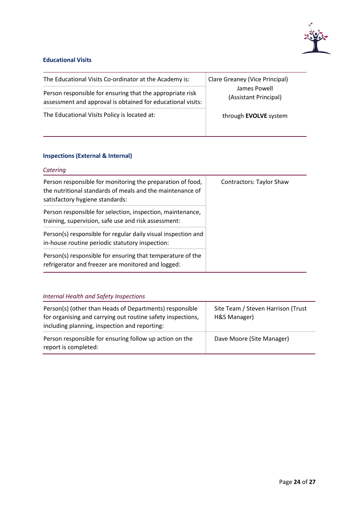

### <span id="page-23-0"></span>**Educational Visits**

| The Educational Visits Co-ordinator at the Academy is:                                                                   | Clare Greaney (Vice Principal)        |  |
|--------------------------------------------------------------------------------------------------------------------------|---------------------------------------|--|
| Person responsible for ensuring that the appropriate risk<br>assessment and approval is obtained for educational visits: | James Powell<br>(Assistant Principal) |  |
| The Educational Visits Policy is located at:                                                                             | through <b>EVOLVE</b> system          |  |

### <span id="page-23-1"></span>**Inspections (External & Internal)**

### *Catering*

| Person responsible for monitoring the preparation of food,<br>the nutritional standards of meals and the maintenance of<br>satisfactory hygiene standards: | <b>Contractors: Taylor Shaw</b> |
|------------------------------------------------------------------------------------------------------------------------------------------------------------|---------------------------------|
| Person responsible for selection, inspection, maintenance,<br>training, supervision, safe use and risk assessment:                                         |                                 |
| Person(s) responsible for regular daily visual inspection and<br>in-house routine periodic statutory inspection:                                           |                                 |
| Person(s) responsible for ensuring that temperature of the<br>refrigerator and freezer are monitored and logged:                                           |                                 |

### *Internal Health and Safety Inspections*

| Person(s) (other than Heads of Departments) responsible<br>for organising and carrying out routine safety inspections,<br>including planning, inspection and reporting: | Site Team / Steven Harrison (Trust<br>H&S Manager) |  |  |
|-------------------------------------------------------------------------------------------------------------------------------------------------------------------------|----------------------------------------------------|--|--|
| Person responsible for ensuring follow up action on the<br>report is completed:                                                                                         | Dave Moore (Site Manager)                          |  |  |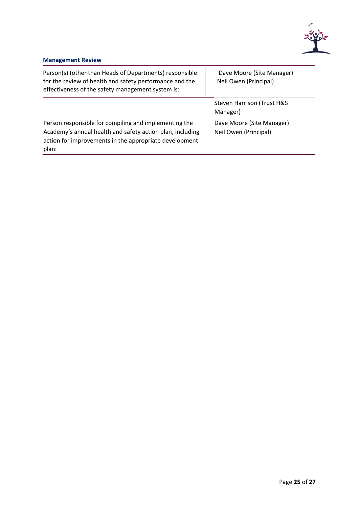

### <span id="page-24-0"></span>**Management Review**

| Person(s) (other than Heads of Departments) responsible<br>for the review of health and safety performance and the<br>effectiveness of the safety management system is:               | Dave Moore (Site Manager)<br>Neil Owen (Principal) |  |
|---------------------------------------------------------------------------------------------------------------------------------------------------------------------------------------|----------------------------------------------------|--|
|                                                                                                                                                                                       | Steven Harrison (Trust H&S<br>Manager)             |  |
| Person responsible for compiling and implementing the<br>Academy's annual health and safety action plan, including<br>action for improvements in the appropriate development<br>plan: | Dave Moore (Site Manager)<br>Neil Owen (Principal) |  |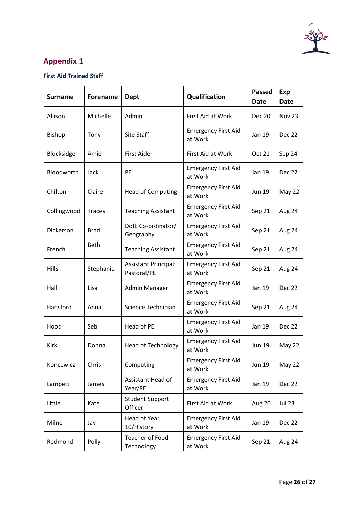

# <span id="page-25-0"></span>**Appendix 1**

### <span id="page-25-1"></span>**First Aid Trained Staff**

| <b>Surname</b> | <b>Forename</b> | Dept                                       | Qualification                         | <b>Passed</b><br>Date | Exp<br><b>Date</b> |
|----------------|-----------------|--------------------------------------------|---------------------------------------|-----------------------|--------------------|
| Allison        | Michelle        | Admin                                      | First Aid at Work                     | <b>Dec 20</b>         | <b>Nov 23</b>      |
| <b>Bishop</b>  | Tony            | Site Staff                                 | <b>Emergency First Aid</b><br>at Work | Jan 19                | Dec 22             |
| Blocksidge     | Amie            | <b>First Aider</b>                         | First Aid at Work                     | Oct 21                | Sep 24             |
| Bloodworth     | Jack            | <b>PE</b>                                  | <b>Emergency First Aid</b><br>at Work | Jan 19                | Dec 22             |
| Chilton        | Claire          | <b>Head of Computing</b>                   | <b>Emergency First Aid</b><br>at Work | Jun 19                | <b>May 22</b>      |
| Collingwood    | Tracey          | <b>Teaching Assistant</b>                  | <b>Emergency First Aid</b><br>at Work | Sep 21                | Aug 24             |
| Dickerson      | Brad            | DofE Co-ordinator/<br>Geography            | <b>Emergency First Aid</b><br>at Work | Sep 21                | Aug 24             |
| French         | <b>Beth</b>     | <b>Teaching Assistant</b>                  | <b>Emergency First Aid</b><br>at Work | Sep 21                | Aug 24             |
| Hills          | Stephanie       | <b>Assistant Principal:</b><br>Pastoral/PE | <b>Emergency First Aid</b><br>at Work | Sep 21                | Aug 24             |
| Hall           | Lisa            | <b>Admin Manager</b>                       | <b>Emergency First Aid</b><br>at Work | Jan 19                | Dec 22             |
| Hansford       | Anna            | Science Technician                         | <b>Emergency First Aid</b><br>at Work | Sep 21                | Aug 24             |
| Hood           | Seb             | Head of PE                                 | <b>Emergency First Aid</b><br>at Work | Jan 19                | Dec 22             |
| <b>Kirk</b>    | Donna           | <b>Head of Technology</b>                  | <b>Emergency First Aid</b><br>at Work | Jun 19                | May 22             |
| Koncewicz      | Chris           | Computing                                  | <b>Emergency First Aid</b><br>at Work | <b>Jun 19</b>         | May 22             |
| Lampett        | James           | Assistant Head of<br>Year/RE               | <b>Emergency First Aid</b><br>at Work | Jan 19                | Dec 22             |
| Little         | Kate            | <b>Student Support</b><br>Officer          | First Aid at Work                     | Aug 20                | <b>Jul 23</b>      |
| Milne          | Jay             | Head of Year<br>10/History                 | <b>Emergency First Aid</b><br>at Work | Jan 19                | Dec 22             |
| Redmond        | Polly           | Teacher of Food<br>Technology              | <b>Emergency First Aid</b><br>at Work | Sep 21                | Aug 24             |